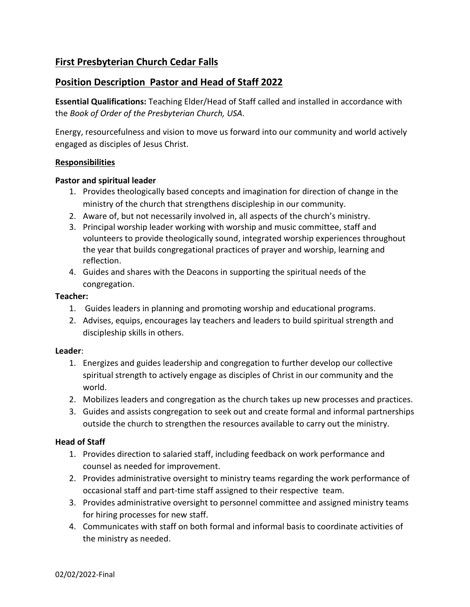# **First Presbyterian Church Cedar Falls**

# **Position Description Pastor and Head of Staff 2022**

**Essential Qualifications:** Teaching Elder/Head of Staff called and installed in accordance with the *Book of Order of the Presbyterian Church, USA.*

Energy, resourcefulness and vision to move us forward into our community and world actively engaged as disciples of Jesus Christ.

### **Responsibilities**

#### **Pastor and spiritual leader**

- 1. Provides theologically based concepts and imagination for direction of change in the ministry of the church that strengthens discipleship in our community.
- 2. Aware of, but not necessarily involved in, all aspects of the church's ministry.
- 3. Principal worship leader working with worship and music committee, staff and volunteers to provide theologically sound, integrated worship experiences throughout the year that builds congregational practices of prayer and worship, learning and reflection.
- 4. Guides and shares with the Deacons in supporting the spiritual needs of the congregation.

### **Teacher:**

- 1. Guides leaders in planning and promoting worship and educational programs.
- 2. Advises, equips, encourages lay teachers and leaders to build spiritual strength and discipleship skills in others.

#### **Leader**:

- 1. Energizes and guides leadership and congregation to further develop our collective spiritual strength to actively engage as disciples of Christ in our community and the world.
- 2. Mobilizes leaders and congregation as the church takes up new processes and practices.
- 3. Guides and assists congregation to seek out and create formal and informal partnerships outside the church to strengthen the resources available to carry out the ministry.

## **Head of Staff**

- 1. Provides direction to salaried staff, including feedback on work performance and counsel as needed for improvement.
- 2. Provides administrative oversight to ministry teams regarding the work performance of occasional staff and part-time staff assigned to their respective team.
- 3. Provides administrative oversight to personnel committee and assigned ministry teams for hiring processes for new staff.
- 4. Communicates with staff on both formal and informal basis to coordinate activities of the ministry as needed.